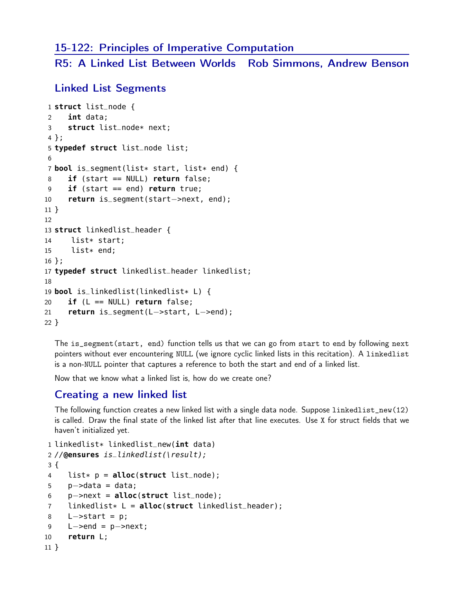## 15-122: Principles of Imperative Computation

R5: A Linked List Between Worlds Rob Simmons, Andrew Benson

#### Linked List Segments

```
1 struct list_node {
2 int data;
3 struct list_node* next;
4 };
5 typedef struct list_node list;
6
7 bool is_segment(list* start, list* end) {
8 if (start == NULL) return false;
9 if (start == end) return true;
10 return is_segment(start−>next, end);
11 }
12
13 struct linkedlist_header {
14 list* start;
15 list* end;
16 };
17 typedef struct linkedlist_header linkedlist;
18
19 bool is_linkedlist(linkedlist* L) {
20 if (L == NULL) return false;
21 return is_segment(L−>start, L−>end);
22 }
```
The is\_segment(start, end) function tells us that we can go from start to end by following next pointers without ever encountering NULL (we ignore cyclic linked lists in this recitation). A linkedlist is a non-NULL pointer that captures a reference to both the start and end of a linked list.

Now that we know what a linked list is, how do we create one?

## Creating a new linked list

The following function creates a new linked list with a single data node. Suppose linkedlist\_new(12) is called. Draw the final state of the linked list after that line executes. Use X for struct fields that we haven't initialized yet.

```
1 linkedlist* linkedlist_new(int data)
2 //@ensures is_linkedlist(\result);
3 {
4 list* p = alloc(struct list_node);
5 p−>data = data;
6 p−>next = alloc(struct list_node);
7 linkedlist* L = alloc(struct linkedlist_header);
8 L−>start = p;
9 L−>end = p−>next;
10 return L;
11 }
```